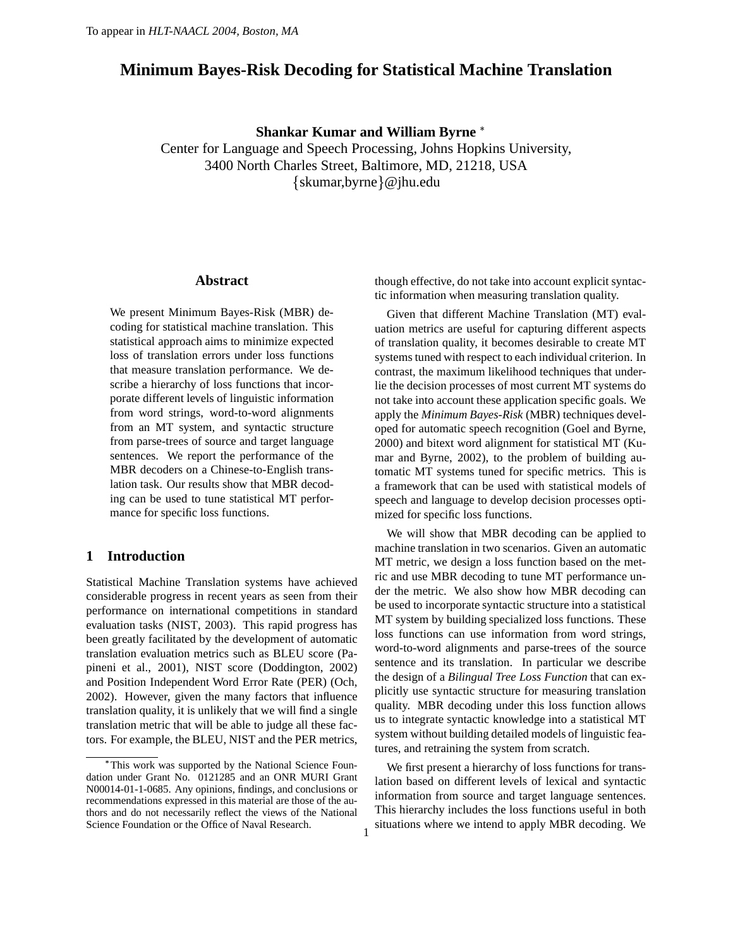# **Minimum Bayes-Risk Decoding for Statistical Machine Translation**

## **Shankar Kumar and William Byrne**

Center for Language and Speech Processing, Johns Hopkins University, 3400 North Charles Street, Baltimore, MD, 21218, USA  $\{ \text{skumar}, \text{byrne} \} @{jhu.edu}$ 

1

#### **Abstract**

We present Minimum Bayes-Risk (MBR) decoding for statistical machine translation. This statistical approach aims to minimize expected loss of translation errors under loss functions that measure translation performance. We describe a hierarchy of loss functions that incorporate different levels of linguistic information from word strings, word-to-word alignments from an MT system, and syntactic structure from parse-trees of source and target language sentences. We report the performance of the MBR decoders on a Chinese-to-English translation task. Our results show that MBR decoding can be used to tune statistical MT performance for specific loss functions.

## **1 Introduction**

Statistical Machine Translation systems have achieved considerable progress in recent years as seen from their performance on international competitions in standard evaluation tasks (NIST, 2003). This rapid progress has been greatly facilitated by the development of automatic translation evaluation metrics such as BLEU score (Papineni et al., 2001), NIST score (Doddington, 2002) and Position Independent Word Error Rate (PER) (Och, 2002). However, given the many factors that influence translation quality, it is unlikely that we will find a single translation metric that will be able to judge all these factors. For example, the BLEU, NIST and the PER metrics,

though effective, do not take into account explicit syntactic information when measuring translation quality.

Given that different Machine Translation (MT) evaluation metrics are useful for capturing different aspects of translation quality, it becomes desirable to create MT systems tuned with respect to each individual criterion. In contrast, the maximum likelihood techniques that underlie the decision processes of most current MT systems do not take into account these application specific goals. We apply the *Minimum Bayes-Risk* (MBR) techniques developed for automatic speech recognition (Goel and Byrne, 2000) and bitext word alignment for statistical MT (Kumar and Byrne, 2002), to the problem of building automatic MT systems tuned for specific metrics. This is a framework that can be used with statistical models of speech and language to develop decision processes optimized for specific loss functions.

We will show that MBR decoding can be applied to machine translation in two scenarios. Given an automatic MT metric, we design a loss function based on the metric and use MBR decoding to tune MT performance under the metric. We also show how MBR decoding can be used to incorporate syntactic structure into a statistical MT system by building specialized loss functions. These loss functions can use information from word strings, word-to-word alignments and parse-trees of the source sentence and its translation. In particular we describe the design of a *Bilingual Tree Loss Function* that can explicitly use syntactic structure for measuring translation quality. MBR decoding under this loss function allows us to integrate syntactic knowledge into a statistical MT system without building detailed models of linguistic features, and retraining the system from scratch.

We first present a hierarchy of loss functions for translation based on different levels of lexical and syntactic information from source and target language sentences. This hierarchy includes the loss functions useful in both situations where we intend to apply MBR decoding. We

This work was supported by the National Science Foundation under Grant No. 0121285 and an ONR MURI Grant N00014-01-1-0685. Any opinions, findings, and conclusions or recommendations expressed in this material are those of the authors and do not necessarily reflect the views of the National Science Foundation or the Office of Naval Research.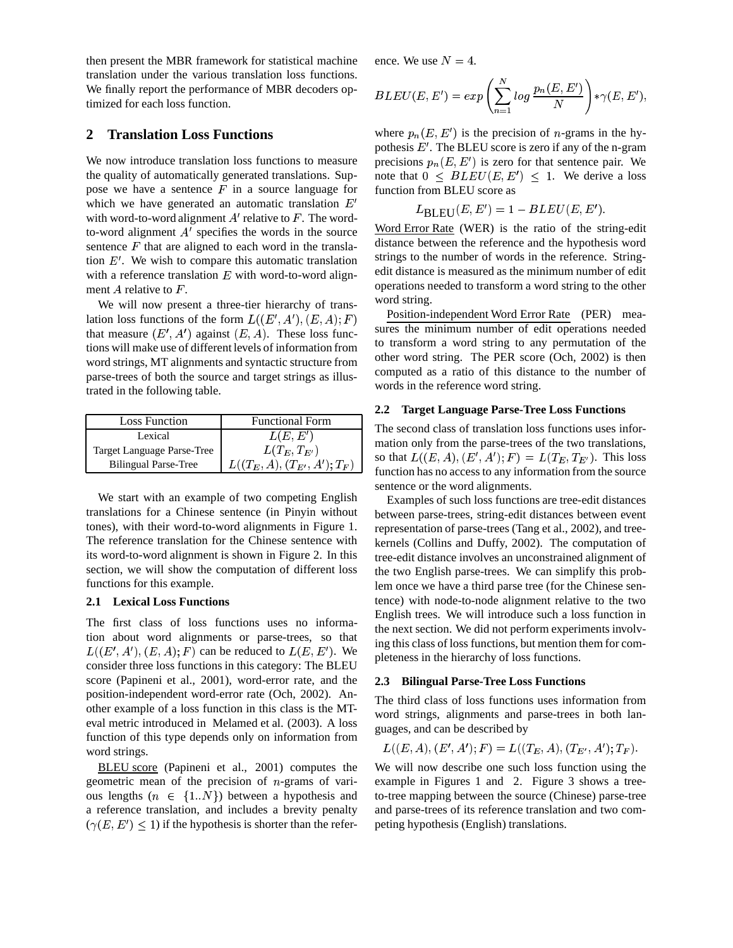then present the MBR framework for statistical machine translation under the various translation loss functions. We finally report the performance of MBR decoders optimized for each loss function.

## **2 Translation Loss Functions**

We now introduce translation loss functions to measure the quality of automatically generated translations. Suppose we have a sentence  $F$  in a source language for which we have generated an automatic translation  $E'$ with word-to-word alignment  $A'$  relative to  $F$ . The wordto-word alignment  $A'$  specifies the words in the source sentence  $F$  that are aligned to each word in the translation  $E'$ . We wish to compare this automatic translation with a reference translation  $E$  with word-to-word alignment  $A$  relative to  $F$ .

We will now present a three-tier hierarchy of translation loss functions of the form  $L((E', A'), (E, A); F)$ that measure  $(E', A')$  against  $(E, A)$ . These loss functions will make use of different levels of information from word strings, MT alignments and syntactic structure from parse-trees of both the source and target strings as illustrated in the following table.

| <b>Loss Function</b>        | <b>Functional Form</b>           |
|-----------------------------|----------------------------------|
| Lexical                     | L(E, E')                         |
| Target Language Parse-Tree  | $L(T_E, T_{E'})$                 |
| <b>Bilingual Parse-Tree</b> | $L((T_E, A), (T_{E'}, A'); T_F)$ |

We start with an example of two competing English translations for a Chinese sentence (in Pinyin without tones), with their word-to-word alignments in Figure 1. The reference translation for the Chinese sentence with its word-to-word alignment is shown in Figure 2. In this section, we will show the computation of different loss functions for this example.

#### **2.1 Lexical Loss Functions**

The first class of loss functions uses no information about word alignments or parse-trees, so that  $L((E', A'), (E, A); F)$  can be reduced to  $L(E, E')$ . We consider three loss functions in this category: The BLEU score (Papineni et al., 2001), word-error rate, and the position-independent word-error rate (Och, 2002). Another example of a loss function in this class is the MTeval metric introduced in Melamed et al. (2003). A loss function of this type depends only on information from word strings.

BLEU score (Papineni et al., 2001) computes the geometric mean of the precision of  $n$ -grams of various lengths  $(n \in \{1..N\})$  between a hypothesis and a reference translation, and includes a brevity penalty  $(\gamma(E, E') \leq 1)$  if the hypothesis is shorter than the reference. We use  $N=4$ .

$$
BLEU(E, E') = exp\left(\sum_{n=1}^{N} log \frac{p_n(E, E')}{N}\right) * \gamma(E, E'),
$$

where  $p_n(E, E')$  is the precision of *n*-grams in the hypothesis  $E'$ . The BLEU score is zero if any of the n-gram precisions  $p_n(E, E')$  is zero for that sentence pair. We note that  $0 \leq BLEU(E, E') \leq 1$ . We derive a loss function from BLEU score as

$$
L_{\text{BLEU}}(E,E')=1-BLEU(E,E').
$$

Word Error Rate (WER) is the ratio of the string-edit distance between the reference and the hypothesis word strings to the number of words in the reference. Stringedit distance is measured as the minimum number of edit operations needed to transform a word string to the other word string.

Position-independent Word Error Rate (PER) measures the minimum number of edit operations needed to transform a word string to any permutation of the other word string. The PER score (Och, 2002) is then computed as a ratio of this distance to the number of words in the reference word string.

#### **2.2 Target Language Parse-Tree Loss Functions**

 $\left( \frac{f(x+h)-f(y)}{h(x+h)-f(y)} \right)$  function has no access to any information from the source The second class of translation loss functions uses information only from the parse-trees of the two translations, so that  $L((E, A), (E', A'); F) = L(T_E, T_{E'})$ . This loss sentence or the word alignments.

> Examples of such loss functions are tree-edit distances between parse-trees, string-edit distances between event representation of parse-trees (Tang et al., 2002), and treekernels (Collins and Duffy, 2002). The computation of tree-edit distance involves an unconstrained alignment of the two English parse-trees. We can simplify this problem once we have a third parse tree (for the Chinese sentence) with node-to-node alignment relative to the two English trees. We will introduce such a loss function in the next section. We did not perform experiments involving this class of loss functions, but mention them for completeness in the hierarchy of loss functions.

#### **2.3 Bilingual Parse-Tree Loss Functions**

The third class of loss functions uses information from word strings, alignments and parse-trees in both languages, and can be described by

$$
L((E, A), (E', A'); F) = L((T_E, A), (T_{E'}, A'); T_F).
$$

We will now describe one such loss function using the example in Figures 1 and 2. Figure 3 shows a treeto-tree mapping between the source (Chinese) parse-tree and parse-trees of its reference translation and two competing hypothesis (English) translations.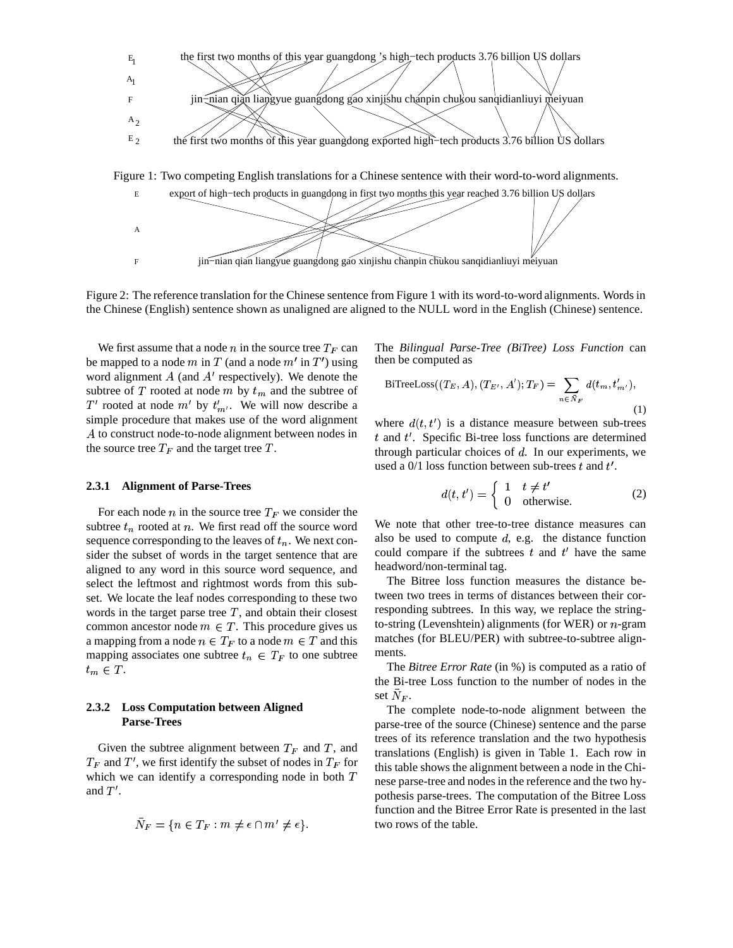





Figure 2: The reference translation for the Chinese sentence from Figure 1 with its word-to-word alignments. Words in the Chinese (English) sentence shown as unaligned are aligned to the NULL word in the English (Chinese) sentence.

We first assume that a node  $n$  in the source tree  $T_F$  can be mapped to a node m in T (and a node  $m'$  in  $T'$ ) using word alignment  $A$  (and  $A'$  respectively). We denote the subtree of T rooted at node  $m$  by  $t_m$  and the subtree of T' rooted at node  $m'$  by  $t'_{m'}$ . We will now describe a simple procedure that makes use of the word alignment A to construct node-to-node alignment between nodes in the source tree  $T_F$  and the target tree  $T$ .

#### **2.3.1 Alignment of Parse-Trees**

For each node  $n$  in the source tree  $T_F$  we consider the subtree  $t_n$  rooted at  $n$ . We first read off the source word sequence corresponding to the leaves of  $t_n$ . We next consider the subset of words in the target sentence that are aligned to any word in this source word sequence, and select the leftmost and rightmost words from this subset. We locate the leaf nodes corresponding to these two words in the target parse tree  $T$ , and obtain their closest common ancestor node  $m \in T$ . This procedure gives us a mapping from a node  $n \in T_F$  to a node  $m \in T$  and this mapping associates one subtree  $t_n \in T_F$  to one subtree  $t_m \in T$ .

### **2.3.2 Loss Computation between Aligned Parse-Trees**

Given the subtree alignment between  $T_F$  and  $T$ , and  $T_F$  and  $T'$ , we first identify the subset of nodes in  $T_F$  for this t which we can identify a corresponding node in both  $T$ and  $T'$ .

$$
\bar{N}_F = \{ n \in T_F : m \neq \epsilon \cap m' \neq \epsilon \}.
$$

The *Bilingual Parse-Tree (BiTree) Loss Function* can then be computed as

BifreeLoss
$$
((T_E, A), (T_{E'}, A'); T_F) = \sum_{n \in \bar{N}_F} d(t_m, t'_{m'}),
$$
 (1)

where  $d(t, t')$  is a distance measure between sub-trees  $t$  and  $t'$ . Specific Bi-tree loss functions are determined through particular choices of  $d$ . In our experiments, we used a  $0/1$  loss function between sub-trees t and t'.

$$
d(t, t') = \begin{cases} 1 & t \neq t' \\ 0 & \text{otherwise.} \end{cases}
$$
 (2)

We note that other tree-to-tree distance measures can also be used to compute  $d$ , e.g. the distance function could compare if the subtrees  $t$  and  $t'$  have the same headword/non-terminal tag.

The Bitree loss function measures the distance between two trees in terms of distances between their corresponding subtrees. In this way, we replace the stringto-string (Levenshtein) alignments (for WER) or  $n$ -gram matches (for BLEU/PER) with subtree-to-subtree alignments.

The *Bitree Error Rate* (in %) is computed as a ratio of the Bi-tree Loss function to the number of nodes in the set  $N_F$ .

The complete node-to-node alignment between the parse-tree of the source (Chinese) sentence and the parse trees of its reference translation and the two hypothesis translations (English) is given in Table 1. Each row in this table shows the alignment between a node in the Chinese parse-tree and nodes in the reference and the two hypothesis parse-trees. The computation of the Bitree Loss function and the Bitree Error Rate is presented in the last two rows of the table.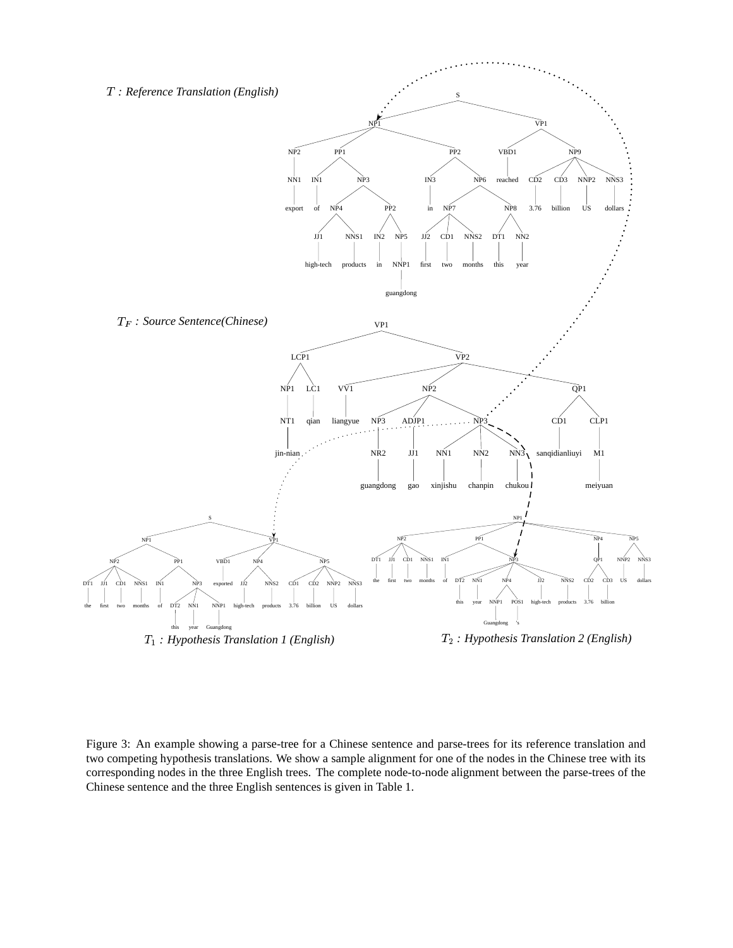

Figure 3: An example showing a parse-tree for a Chinese sentence and parse-trees for its reference translation and two competing hypothesis translations. We show a sample alignment for one of the nodes in the Chinese tree with its corresponding nodes in the three English trees. The complete node-to-node alignment between the parse-trees of the Chinese sentence and the three English sentences is given in Table 1.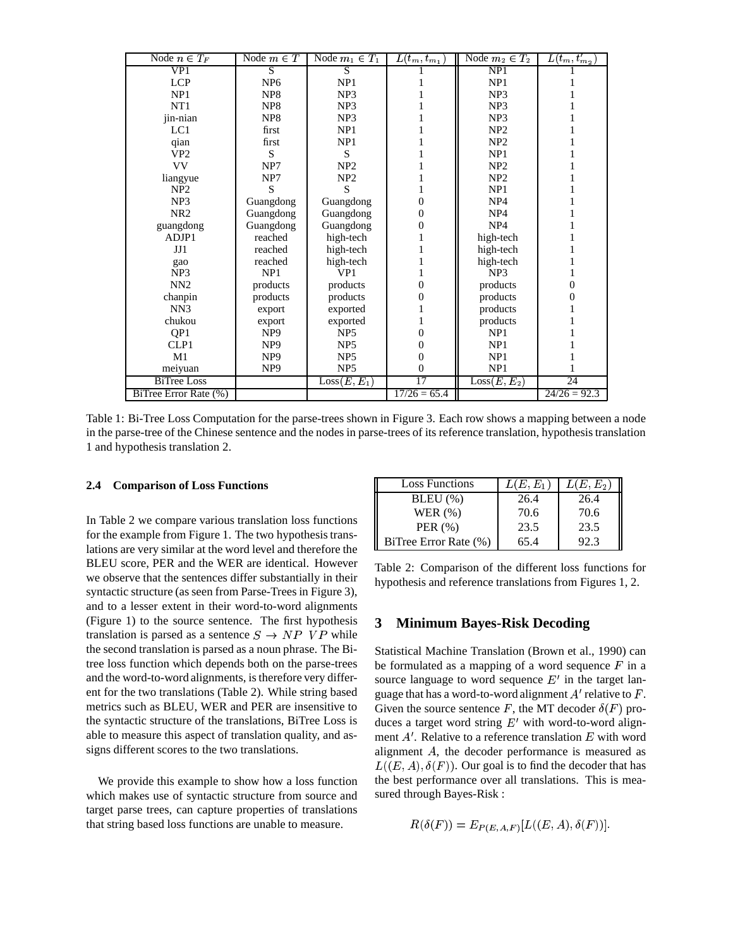| Node $n \in T_F$      | Node $m \in T$  | Node $m_1 \in T_1$       | $\overline{L(t_{m},t_{m_{1}})}$ | Node $m_2 \in T_2$       | $L(t_m,t_{m_2})$ |
|-----------------------|-----------------|--------------------------|---------------------------------|--------------------------|------------------|
| VP1                   | S               | $\overline{S}$           |                                 | NP1                      |                  |
| <b>LCP</b>            | NP <sub>6</sub> | NP1<br>NP1               |                                 |                          |                  |
| NP1                   | NP <sub>8</sub> | NP <sub>3</sub>          |                                 | NP <sub>3</sub>          |                  |
| NT1                   | NP <sub>8</sub> | NP <sub>3</sub>          |                                 | NP <sub>3</sub>          |                  |
| jin-nian              | NP <sub>8</sub> | NP <sub>3</sub>          |                                 | NP <sub>3</sub>          |                  |
| LC1                   | first           | NP1                      |                                 | NP <sub>2</sub>          |                  |
| qian                  | first           | NP1                      |                                 | NP2                      |                  |
| VP <sub>2</sub>       | S               | S                        |                                 | NP <sub>1</sub>          |                  |
| <b>VV</b>             | NP7             | NP2                      |                                 | NP <sub>2</sub>          |                  |
| liangyue              | NP7             | NP2                      |                                 | NP <sub>2</sub>          |                  |
| NP <sub>2</sub>       | S               | S                        |                                 | NP1                      |                  |
| NP <sub>3</sub>       | Guangdong       | Guangdong                | $\theta$                        | NP <sub>4</sub>          |                  |
| NR <sub>2</sub>       | Guangdong       | Guangdong                | 0                               | NP <sub>4</sub>          |                  |
| guangdong             | Guangdong       | Guangdong                | 0                               | NP <sub>4</sub>          |                  |
| ADJP1                 | reached         | high-tech                |                                 | high-tech                |                  |
| JI1                   | reached         | high-tech                |                                 | high-tech                |                  |
| gao                   | reached         | high-tech                |                                 | high-tech                |                  |
| NP <sub>3</sub>       | NP1             | VP <sub>1</sub>          |                                 | NP3                      |                  |
| NN <sub>2</sub>       | products        | products                 | $\theta$                        | products                 | $\overline{0}$   |
| chanpin               | products        | products                 | 0                               | products                 | 0                |
| NN3                   | export          | exported                 |                                 | products                 |                  |
| chukou                | export          | exported                 |                                 | products                 |                  |
| QP1                   | NP <sub>9</sub> | NP <sub>5</sub>          | 0                               | NP1                      |                  |
| CLP1                  | NP <sub>9</sub> | NP <sub>5</sub>          | 0                               | NP1                      |                  |
| M <sub>1</sub>        | NP <sub>9</sub> | NP <sub>5</sub>          | $\boldsymbol{0}$                | NP1                      |                  |
| meiyuan               | NP <sub>9</sub> | NP <sub>5</sub>          | $\boldsymbol{0}$                | NP1                      |                  |
| <b>BiTree Loss</b>    |                 | Loss(E, E <sub>1</sub> ) | 17                              | Loss(E, E <sub>2</sub> ) | 24               |
| BiTree Error Rate (%) |                 |                          | $17/26 = 65.4$                  |                          | $24/26 = 92.3$   |

Table 1: Bi-Tree Loss Computation for the parse-trees shown in Figure 3. Each row shows a mapping between a node in the parse-tree of the Chinese sentence and the nodes in parse-trees of its reference translation, hypothesis translation 1 and hypothesis translation 2.

#### **2.4 Comparison of Loss Functions**

In Table 2 we compare various translation loss functions for the example from Figure 1. The two hypothesis translations are very similar at the word level and therefore the BLEU score, PER and the WER are identical. However we observe that the sentences differ substantially in their syntactic structure (as seen from Parse-Trees in Figure 3), and to a lesser extent in their word-to-word alignments (Figure 1) to the source sentence. The first hypothesis translation is parsed as a sentence  $S \rightarrow NP \ VP$  while the second translation is parsed as a noun phrase. The Bitree loss function which depends both on the parse-trees and the word-to-word alignments, is therefore very different for the two translations (Table 2). While string based metrics such as BLEU, WER and PER are insensitive to the syntactic structure of the translations, BiTree Loss is able to measure this aspect of translation quality, and assigns different scores to the two translations.

We provide this example to show how a loss function which makes use of syntactic structure from source and target parse trees, can capture properties of translations that string based loss functions are unable to measure.

| <b>Loss Functions</b> | $L(E, E_1)$ | $L(E, E_2)$ |
|-----------------------|-------------|-------------|
| $BLEU$ $(\%)$         | 26.4        | 26.4        |
| WER $(\% )$           | 70.6        | 70.6        |
| PER $(\%)$            | 23.5        | 23.5        |
| BiTree Error Rate (%) | 65.4        | 92.3        |

Table 2: Comparison of the different loss functions for hypothesis and reference translations from Figures 1, 2.

### **3 Minimum Bayes-Risk Decoding**

Statistical Machine Translation (Brown et al., 1990) can be formulated as a mapping of a word sequence  $F$  in a source language to word sequence  $E'$  in the target language that has a word-to-word alignment  $A'$  relative to  $F$ . Given the source sentence F, the MT decoder  $\delta(F)$  produces a target word string  $E'$  with word-to-word alignment  $A'$ . Relative to a reference translation  $E$  with word alignment  $A$ , the decoder performance is measured as  $L((E, A), \delta(F))$ . Our goal is to find the decoder that has the best performance over all translations. This is measured through Bayes-Risk :

$$
R(\delta(F))=E_{P(E,A,F)}[L((E,A),\delta(F))].
$$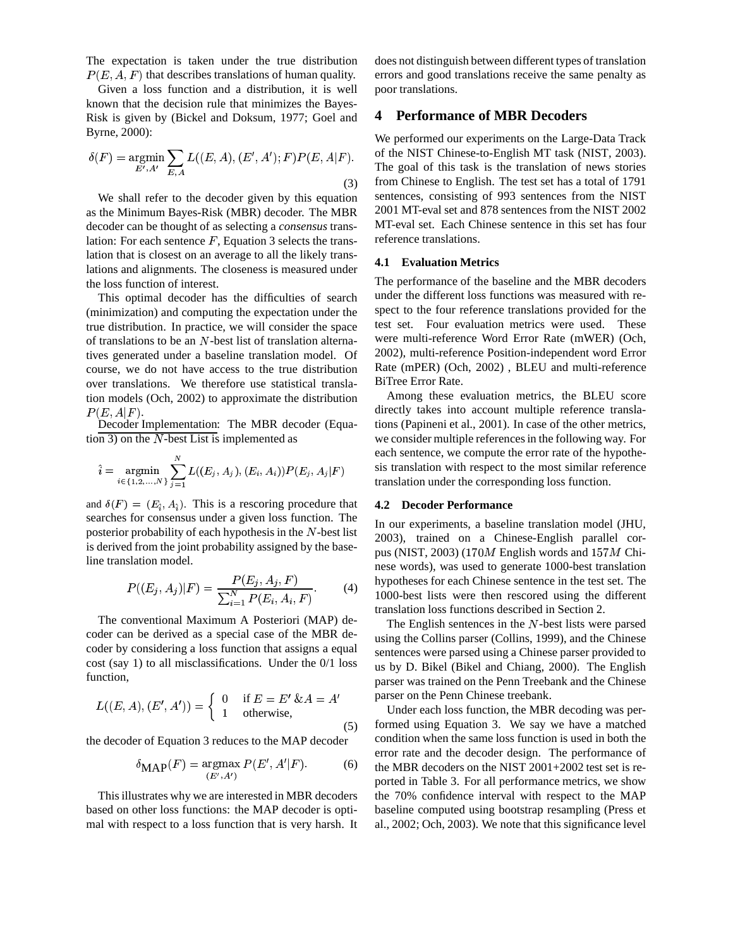The expectation is taken under the true distribution  $P(E, A, F)$  that describes translations of human quality.

Given a loss function and a distribution, it is well known that the decision rule that minimizes the Bayes-Risk is given by (Bickel and Doksum, 1977; Goel and Byrne, 2000):

$$
\delta(F) = \underset{E', A'}{\text{argmin}} \sum_{E, A} L((E, A), (E', A'); F) P(E, A|F).
$$
\n(3)

We shall refer to the decoder given by this equation as the Minimum Bayes-Risk (MBR) decoder. The MBR decoder can be thought of as selecting a *consensus* translation: For each sentence  $F$ , Equation 3 selects the translation that is closest on an average to all the likely translations and alignments. The closeness is measured under the loss function of interest.

This optimal decoder has the difficulties of search (minimization) and computing the expectation under the true distribution. In practice, we will consider the space of translations to be an  $N$ -best list of translation alternatives generated under a baseline translation model. Of course, we do not have access to the true distribution over translations. We therefore use statistical translation models (Och, 2002) to approximate the distribution  $P(E, A|F)$ .

Decoder Implementation: The MBR decoder (Equation 3) on the  $N$ -best List is implemented as

$$
\hat{i} = \operatornamewithlimits{argmin}_{i \in \{1, 2, ..., N\}} \sum_{j = 1}^N L((E_j, A_j), (E_i, A_i)) P(E_j, A_j|F)
$$

and  $\delta(F) = (E_{\hat{i}}, A_{\hat{i}})$ . This is a rescoring procedure that searches for consensus under a given loss function. The posterior probability of each hypothesis in the  $N$ -best list is derived from the joint probability assigned by the baseline translation model.

$$
P((E_j, A_j)|F) = \frac{P(E_j, A_j, F)}{\sum_{i=1}^{N} P(E_i, A_i, F)}.
$$
 (4)

The conventional Maximum A Posteriori (MAP) decoder can be derived as a special case of the MBR decoder by considering a loss function that assigns a equal cost (say 1) to all misclassifications. Under the 0/1 loss function,

$$
L((E, A), (E', A')) = \begin{cases} 0 & \text{if } E = E' \& A = A' \\ 1 & \text{otherwise,} \end{cases}
$$
 (5)

the decoder of Equation 3 reduces to the MAP decoder

$$
\delta_{\text{MAP}}(F) = \operatorname*{argmax}_{(E', A')} P(E', A'|F). \tag{6}
$$

This illustrates why we are interested in MBR decoders based on other loss functions: the MAP decoder is optimal with respect to a loss function that is very harsh. It does not distinguish between different types of translation errors and good translations receive the same penalty as poor translations.

## **4 Performance of MBR Decoders**

We performed our experiments on the Large-Data Track of the NIST Chinese-to-English MT task (NIST, 2003). The goal of this task is the translation of news stories from Chinese to English. The test set has a total of 1791 sentences, consisting of 993 sentences from the NIST 2001 MT-eval set and 878 sentences from the NIST 2002 MT-eval set. Each Chinese sentence in this set has four reference translations.

## **4.1 Evaluation Metrics**

The performance of the baseline and the MBR decoders under the different loss functions was measured with respect to the four reference translations provided for the test set. Four evaluation metrics were used. These were multi-reference Word Error Rate (mWER) (Och, 2002), multi-reference Position-independent word Error Rate (mPER) (Och, 2002) , BLEU and multi-reference BiTree Error Rate.

Among these evaluation metrics, the BLEU score directly takes into account multiple reference translations (Papineni et al., 2001). In case of the other metrics, we consider multiple referencesin the following way. For each sentence, we compute the error rate of the hypothesis translation with respect to the most similar reference translation under the corresponding loss function.

#### **4.2 Decoder Performance**

In our experiments, a baseline translation model (JHU, 2003), trained on a Chinese-English parallel corpus (NIST, 2003) (170 $M$  English words and 157 $M$  Chinese words), was used to generate 1000-best translation hypotheses for each Chinese sentence in the test set. The 1000-best lists were then rescored using the different translation loss functions described in Section 2.

The English sentences in the  $N$ -best lists were parsed using the Collins parser (Collins, 1999), and the Chinese sentences were parsed using a Chinese parser provided to us by D. Bikel (Bikel and Chiang, 2000). The English parser was trained on the Penn Treebank and the Chinese parser on the Penn Chinese treebank.

Under each loss function, the MBR decoding was performed using Equation 3. We say we have a matched condition when the same loss function is used in both the error rate and the decoder design. The performance of the MBR decoders on the NIST 2001+2002 test set is reported in Table 3. For all performance metrics, we show the 70% confidence interval with respect to the MAP baseline computed using bootstrap resampling (Press et al., 2002; Och, 2003). We note that this significance level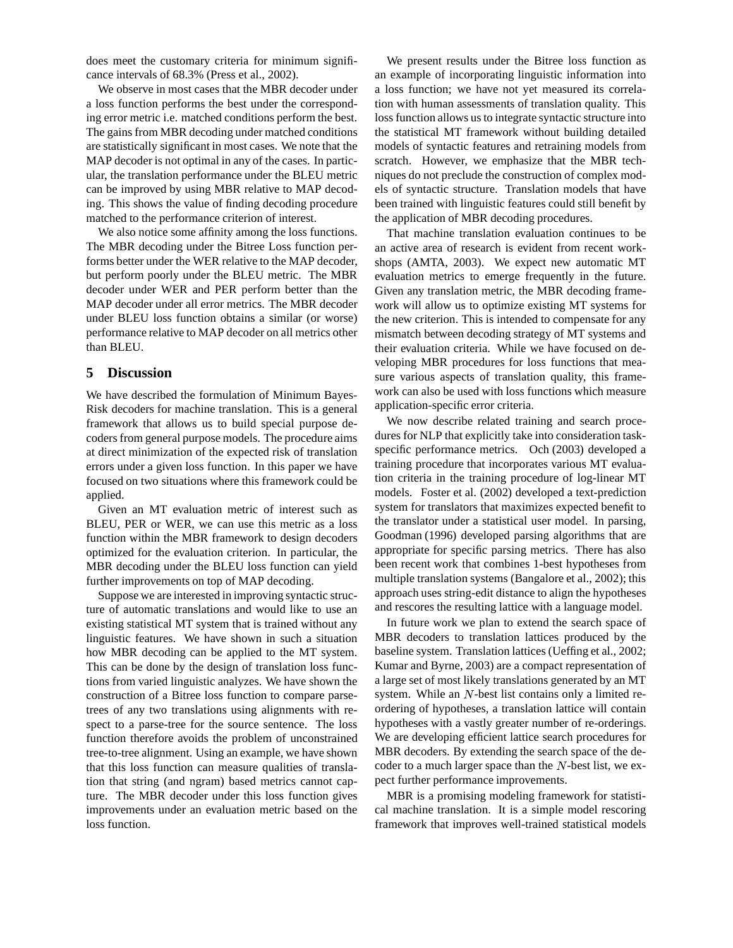does meet the customary criteria for minimum significance intervals of 68.3% (Press et al., 2002).

We observe in most cases that the MBR decoder under a loss function performs the best under the corresponding error metric i.e. matched conditions perform the best. The gains from MBR decoding under matched conditions are statistically significant in most cases. We note that the MAP decoder is not optimal in any of the cases. In particular, the translation performance under the BLEU metric can be improved by using MBR relative to MAP decoding. This shows the value of finding decoding procedure matched to the performance criterion of interest.

We also notice some affinity among the loss functions. The MBR decoding under the Bitree Loss function performs better under the WER relative to the MAP decoder, but perform poorly under the BLEU metric. The MBR decoder under WER and PER perform better than the MAP decoder under all error metrics. The MBR decoder under BLEU loss function obtains a similar (or worse) performance relative to MAP decoder on all metrics other than BLEU.

### **5 Discussion**

We have described the formulation of Minimum Bayes-Risk decoders for machine translation. This is a general framework that allows us to build special purpose decoders from general purpose models. The procedure aims at direct minimization of the expected risk of translation errors under a given loss function. In this paper we have focused on two situations where this framework could be applied.

Given an MT evaluation metric of interest such as BLEU, PER or WER, we can use this metric as a loss function within the MBR framework to design decoders optimized for the evaluation criterion. In particular, the MBR decoding under the BLEU loss function can yield further improvements on top of MAP decoding.

Suppose we are interested in improving syntactic structure of automatic translations and would like to use an existing statistical MT system that is trained without any linguistic features. We have shown in such a situation how MBR decoding can be applied to the MT system. This can be done by the design of translation loss functions from varied linguistic analyzes. We have shown the construction of a Bitree loss function to compare parsetrees of any two translations using alignments with respect to a parse-tree for the source sentence. The loss function therefore avoids the problem of unconstrained tree-to-tree alignment. Using an example, we have shown that this loss function can measure qualities of translation that string (and ngram) based metrics cannot capture. The MBR decoder under this loss function gives improvements under an evaluation metric based on the loss function.

We present results under the Bitree loss function as an example of incorporating linguistic information into a loss function; we have not yet measured its correlation with human assessments of translation quality. This loss function allows us to integrate syntactic structure into the statistical MT framework without building detailed models of syntactic features and retraining models from scratch. However, we emphasize that the MBR techniques do not preclude the construction of complex models of syntactic structure. Translation models that have been trained with linguistic features could still benefit by the application of MBR decoding procedures.

That machine translation evaluation continues to be an active area of research is evident from recent workshops (AMTA, 2003). We expect new automatic MT evaluation metrics to emerge frequently in the future. Given any translation metric, the MBR decoding framework will allow us to optimize existing MT systems for the new criterion. This is intended to compensate for any mismatch between decoding strategy of MT systems and their evaluation criteria. While we have focused on developing MBR procedures for loss functions that measure various aspects of translation quality, this framework can also be used with loss functions which measure application-specific error criteria.

We now describe related training and search procedures for NLP that explicitly take into consideration taskspecific performance metrics. Och (2003) developed a training procedure that incorporates various MT evaluation criteria in the training procedure of log-linear MT models. Foster et al. (2002) developed a text-prediction system for translators that maximizes expected benefit to the translator under a statistical user model. In parsing, Goodman (1996) developed parsing algorithms that are appropriate for specific parsing metrics. There has also been recent work that combines 1-best hypotheses from multiple translation systems (Bangalore et al., 2002); this approach uses string-edit distance to align the hypotheses and rescores the resulting lattice with a language model.

In future work we plan to extend the search space of MBR decoders to translation lattices produced by the baseline system. Translation lattices (Ueffing et al., 2002; Kumar and Byrne, 2003) are a compact representation of a large set of most likely translations generated by an MT system. While an  $N$ -best list contains only a limited reordering of hypotheses, a translation lattice will contain hypotheses with a vastly greater number of re-orderings. We are developing efficient lattice search procedures for MBR decoders. By extending the search space of the decoder to a much larger space than the  $N$ -best list, we expect further performance improvements.

MBR is a promising modeling framework for statistical machine translation. It is a simple model rescoring framework that improves well-trained statistical models